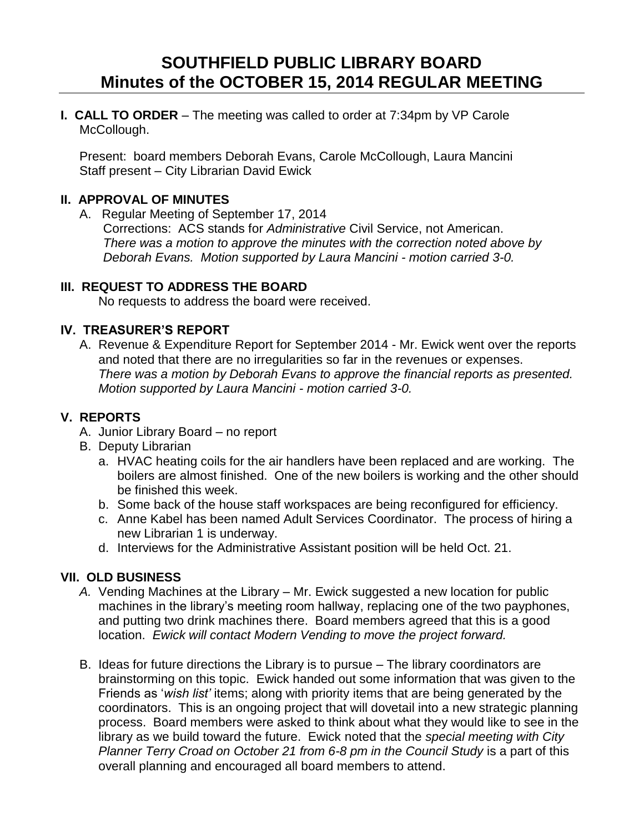# **SOUTHFIELD PUBLIC LIBRARY BOARD Minutes of the OCTOBER 15, 2014 REGULAR MEETING**

**I. CALL TO ORDER** – The meeting was called to order at 7:34pm by VP Carole McCollough.

Present: board members Deborah Evans, Carole McCollough, Laura Mancini Staff present – City Librarian David Ewick

## **II. APPROVAL OF MINUTES**

A. Regular Meeting of September 17, 2014 Corrections: ACS stands for *Administrative* Civil Service, not American. *There was a motion to approve the minutes with the correction noted above by Deborah Evans. Motion supported by Laura Mancini - motion carried 3-0.*

## **III. REQUEST TO ADDRESS THE BOARD**

No requests to address the board were received.

## **IV. TREASURER'S REPORT**

A. Revenue & Expenditure Report for September 2014 - Mr. Ewick went over the reports and noted that there are no irregularities so far in the revenues or expenses. *There was a motion by Deborah Evans to approve the financial reports as presented. Motion supported by Laura Mancini - motion carried 3-0.* 

#### **V. REPORTS**

- A. Junior Library Board no report
- B. Deputy Librarian
	- a. HVAC heating coils for the air handlers have been replaced and are working. The boilers are almost finished. One of the new boilers is working and the other should be finished this week.
	- b. Some back of the house staff workspaces are being reconfigured for efficiency.
	- c. Anne Kabel has been named Adult Services Coordinator. The process of hiring a new Librarian 1 is underway.
	- d. Interviews for the Administrative Assistant position will be held Oct. 21.

# **VII. OLD BUSINESS**

- *A.* Vending Machines at the Library Mr. Ewick suggested a new location for public machines in the library's meeting room hallway, replacing one of the two payphones, and putting two drink machines there. Board members agreed that this is a good location. *Ewick will contact Modern Vending to move the project forward.*
- B. Ideas for future directions the Library is to pursue The library coordinators are brainstorming on this topic. Ewick handed out some information that was given to the Friends as '*wish list'* items; along with priority items that are being generated by the coordinators. This is an ongoing project that will dovetail into a new strategic planning process. Board members were asked to think about what they would like to see in the library as we build toward the future. Ewick noted that the *special meeting with City Planner Terry Croad on October 21 from 6-8 pm in the Council Study* is a part of this overall planning and encouraged all board members to attend.